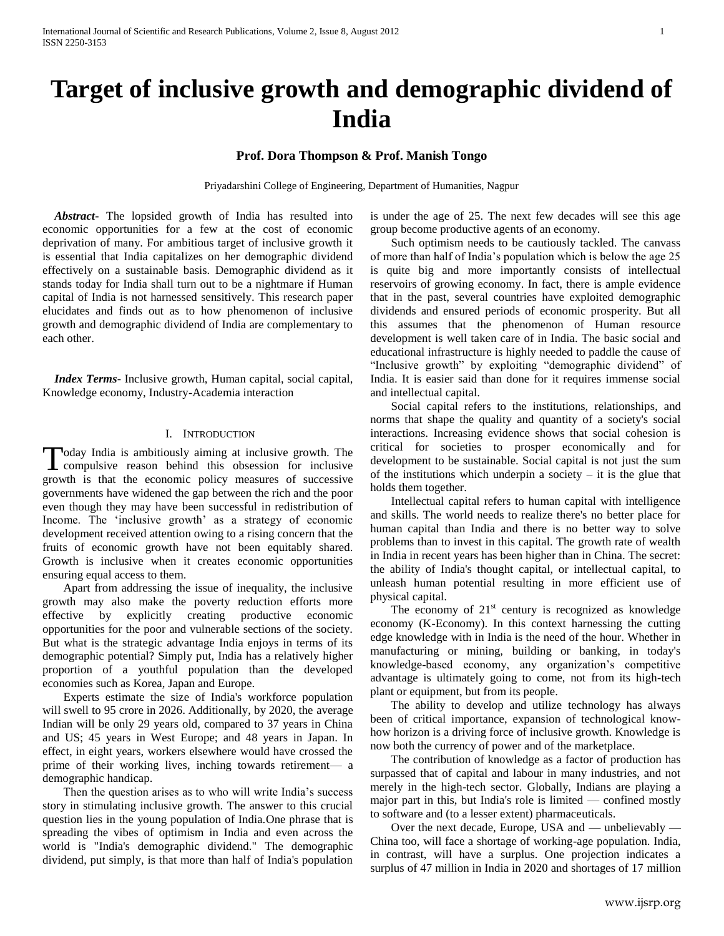# **Target of inclusive growth and demographic dividend of India**

## **Prof. Dora Thompson & Prof. Manish Tongo**

Priyadarshini College of Engineering, Department of Humanities, Nagpur

 *Abstract***-** The lopsided growth of India has resulted into economic opportunities for a few at the cost of economic deprivation of many. For ambitious target of inclusive growth it is essential that India capitalizes on her demographic dividend effectively on a sustainable basis. Demographic dividend as it stands today for India shall turn out to be a nightmare if Human capital of India is not harnessed sensitively. This research paper elucidates and finds out as to how phenomenon of inclusive growth and demographic dividend of India are complementary to each other.

 *Index Terms*- Inclusive growth, Human capital, social capital, Knowledge economy, Industry-Academia interaction

### I. INTRODUCTION

oday India is ambitiously aiming at inclusive growth. The Today India is ambitiously aiming at inclusive growth. The compulsive reason behind this obsession for inclusive growth is that the economic policy measures of successive governments have widened the gap between the rich and the poor even though they may have been successful in redistribution of Income. The 'inclusive growth' as a strategy of economic development received attention owing to a rising concern that the fruits of economic growth have not been equitably shared. Growth is inclusive when it creates economic opportunities ensuring equal access to them.

 Apart from addressing the issue of inequality, the inclusive growth may also make the poverty reduction efforts more effective by explicitly creating productive economic opportunities for the poor and vulnerable sections of the society. But what is the strategic advantage India enjoys in terms of its demographic potential? Simply put, India has a relatively higher proportion of a youthful population than the developed economies such as Korea, Japan and Europe.

 Experts estimate the size of India's workforce population will swell to 95 crore in 2026. Additionally, by 2020, the average Indian will be only 29 years old, compared to 37 years in China and US; 45 years in West Europe; and 48 years in Japan. In effect, in eight years, workers elsewhere would have crossed the prime of their working lives, inching towards retirement— a demographic handicap.

 Then the question arises as to who will write India's success story in stimulating inclusive growth. The answer to this crucial question lies in the young population of India.One phrase that is spreading the vibes of optimism in India and even across the world is "India's demographic dividend." The demographic dividend, put simply, is that more than half of India's population is under the age of 25. The next few decades will see this age group become productive agents of an economy.

 Such optimism needs to be cautiously tackled. The canvass of more than half of India's population which is below the age 25 is quite big and more importantly consists of intellectual reservoirs of growing economy. In fact, there is ample evidence that in the past, several countries have exploited demographic dividends and ensured periods of economic prosperity. But all this assumes that the phenomenon of Human resource development is well taken care of in India. The basic social and educational infrastructure is highly needed to paddle the cause of "Inclusive growth" by exploiting "demographic dividend" of India. It is easier said than done for it requires immense social and intellectual capital.

 Social capital refers to the institutions, relationships, and norms that shape the quality and quantity of a society's social interactions. Increasing evidence shows that social cohesion is critical for societies to prosper economically and for development to be sustainable. Social capital is not just the sum of the institutions which underpin a society  $-$  it is the glue that holds them together.

 Intellectual capital refers to human capital with intelligence and skills. The world needs to realize there's no better place for human capital than India and there is no better way to solve problems than to invest in this capital. The growth rate of wealth in India in recent years has been higher than in China. The secret: the ability of India's thought capital, or intellectual capital, to unleash human potential resulting in more efficient use of physical capital.

The economy of  $21<sup>st</sup>$  century is recognized as knowledge economy (K-Economy). In this context harnessing the cutting edge knowledge with in India is the need of the hour. Whether in manufacturing or mining, building or banking, in today's knowledge-based economy, any organization's competitive advantage is ultimately going to come, not from its high-tech plant or equipment, but from its people.

 The ability to develop and utilize technology has always been of critical importance, expansion of technological knowhow horizon is a driving force of inclusive growth. Knowledge is now both the currency of power and of the marketplace.

 The contribution of knowledge as a factor of production has surpassed that of capital and labour in many industries, and not merely in the high-tech sector. Globally, Indians are playing a major part in this, but India's role is limited — confined mostly to software and (to a lesser extent) pharmaceuticals.

 Over the next decade, Europe, USA and — unbelievably — China too, will face a shortage of working-age population. India, in contrast, will have a surplus. One projection indicates a surplus of 47 million in India in 2020 and shortages of 17 million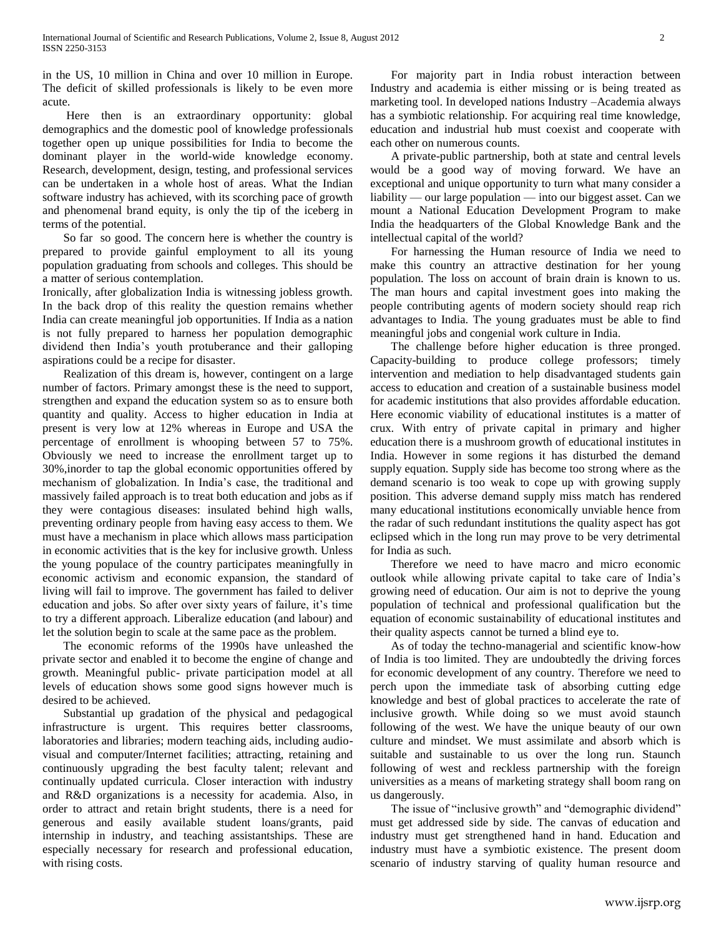in the US, 10 million in China and over 10 million in Europe. The deficit of skilled professionals is likely to be even more acute.

 Here then is an extraordinary opportunity: global demographics and the domestic pool of knowledge professionals together open up unique possibilities for India to become the dominant player in the world-wide knowledge economy. Research, development, design, testing, and professional services can be undertaken in a whole host of areas. What the Indian software industry has achieved, with its scorching pace of growth and phenomenal brand equity, is only the tip of the iceberg in terms of the potential.

 So far so good. The concern here is whether the country is prepared to provide gainful employment to all its young population graduating from schools and colleges. This should be a matter of serious contemplation.

Ironically, after globalization India is witnessing jobless growth. In the back drop of this reality the question remains whether India can create meaningful job opportunities. If India as a nation is not fully prepared to harness her population demographic dividend then India's youth protuberance and their galloping aspirations could be a recipe for disaster.

 Realization of this dream is, however, contingent on a large number of factors. Primary amongst these is the need to support, strengthen and expand the education system so as to ensure both quantity and quality. Access to higher education in India at present is very low at 12% whereas in Europe and USA the percentage of enrollment is whooping between 57 to 75%. Obviously we need to increase the enrollment target up to 30%,inorder to tap the global economic opportunities offered by mechanism of globalization. In India's case, the traditional and massively failed approach is to treat both education and jobs as if they were contagious diseases: insulated behind high walls, preventing ordinary people from having easy access to them. We must have a mechanism in place which allows mass participation in economic activities that is the key for inclusive growth. Unless the young populace of the country participates meaningfully in economic activism and economic expansion, the standard of living will fail to improve. The government has failed to deliver education and jobs. So after over sixty years of failure, it's time to try a different approach. Liberalize education (and labour) and let the solution begin to scale at the same pace as the problem.

 The economic reforms of the 1990s have unleashed the private sector and enabled it to become the engine of change and growth. Meaningful public- private participation model at all levels of education shows some good signs however much is desired to be achieved.

 Substantial up gradation of the physical and pedagogical infrastructure is urgent. This requires better classrooms, laboratories and libraries; modern teaching aids, including audiovisual and computer/Internet facilities; attracting, retaining and continuously upgrading the best faculty talent; relevant and continually updated curricula. Closer interaction with industry and R&D organizations is a necessity for academia. Also, in order to attract and retain bright students, there is a need for generous and easily available student loans/grants, paid internship in industry, and teaching assistantships. These are especially necessary for research and professional education, with rising costs.

 For majority part in India robust interaction between Industry and academia is either missing or is being treated as marketing tool. In developed nations Industry –Academia always has a symbiotic relationship. For acquiring real time knowledge, education and industrial hub must coexist and cooperate with each other on numerous counts.

 A private-public partnership, both at state and central levels would be a good way of moving forward. We have an exceptional and unique opportunity to turn what many consider a liability — our large population — into our biggest asset. Can we mount a National Education Development Program to make India the headquarters of the Global Knowledge Bank and the intellectual capital of the world?

 For harnessing the Human resource of India we need to make this country an attractive destination for her young population. The loss on account of brain drain is known to us. The man hours and capital investment goes into making the people contributing agents of modern society should reap rich advantages to India. The young graduates must be able to find meaningful jobs and congenial work culture in India.

 The challenge before higher education is three pronged. Capacity-building to produce college professors; timely intervention and mediation to help disadvantaged students gain access to education and creation of a sustainable business model for academic institutions that also provides affordable education. Here economic viability of educational institutes is a matter of crux. With entry of private capital in primary and higher education there is a mushroom growth of educational institutes in India. However in some regions it has disturbed the demand supply equation. Supply side has become too strong where as the demand scenario is too weak to cope up with growing supply position. This adverse demand supply miss match has rendered many educational institutions economically unviable hence from the radar of such redundant institutions the quality aspect has got eclipsed which in the long run may prove to be very detrimental for India as such.

 Therefore we need to have macro and micro economic outlook while allowing private capital to take care of India's growing need of education. Our aim is not to deprive the young population of technical and professional qualification but the equation of economic sustainability of educational institutes and their quality aspects cannot be turned a blind eye to.

 As of today the techno-managerial and scientific know-how of India is too limited. They are undoubtedly the driving forces for economic development of any country. Therefore we need to perch upon the immediate task of absorbing cutting edge knowledge and best of global practices to accelerate the rate of inclusive growth. While doing so we must avoid staunch following of the west. We have the unique beauty of our own culture and mindset. We must assimilate and absorb which is suitable and sustainable to us over the long run. Staunch following of west and reckless partnership with the foreign universities as a means of marketing strategy shall boom rang on us dangerously.

The issue of "inclusive growth" and "demographic dividend" must get addressed side by side. The canvas of education and industry must get strengthened hand in hand. Education and industry must have a symbiotic existence. The present doom scenario of industry starving of quality human resource and